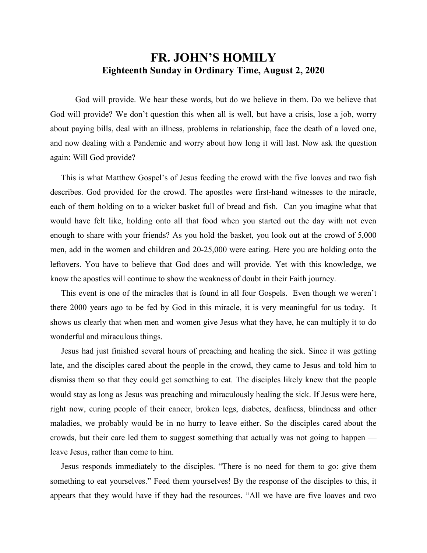## **FR. JOHN'S HOMILY Eighteenth Sunday in Ordinary Time, August 2, 2020**

 God will provide. We hear these words, but do we believe in them. Do we believe that God will provide? We don't question this when all is well, but have a crisis, lose a job, worry about paying bills, deal with an illness, problems in relationship, face the death of a loved one, and now dealing with a Pandemic and worry about how long it will last. Now ask the question again: Will God provide?

 This is what Matthew Gospel's of Jesus feeding the crowd with the five loaves and two fish describes. God provided for the crowd. The apostles were first-hand witnesses to the miracle, each of them holding on to a wicker basket full of bread and fish. Can you imagine what that would have felt like, holding onto all that food when you started out the day with not even enough to share with your friends? As you hold the basket, you look out at the crowd of 5,000 men, add in the women and children and 20-25,000 were eating. Here you are holding onto the leftovers. You have to believe that God does and will provide. Yet with this knowledge, we know the apostles will continue to show the weakness of doubt in their Faith journey.

 This event is one of the miracles that is found in all four Gospels. Even though we weren't there 2000 years ago to be fed by God in this miracle, it is very meaningful for us today. It shows us clearly that when men and women give Jesus what they have, he can multiply it to do wonderful and miraculous things.

 Jesus had just finished several hours of preaching and healing the sick. Since it was getting late, and the disciples cared about the people in the crowd, they came to Jesus and told him to dismiss them so that they could get something to eat. The disciples likely knew that the people would stay as long as Jesus was preaching and miraculously healing the sick. If Jesus were here, right now, curing people of their cancer, broken legs, diabetes, deafness, blindness and other maladies, we probably would be in no hurry to leave either. So the disciples cared about the crowds, but their care led them to suggest something that actually was not going to happen leave Jesus, rather than come to him.

 Jesus responds immediately to the disciples. "There is no need for them to go: give them something to eat yourselves." Feed them yourselves! By the response of the disciples to this, it appears that they would have if they had the resources. "All we have are five loaves and two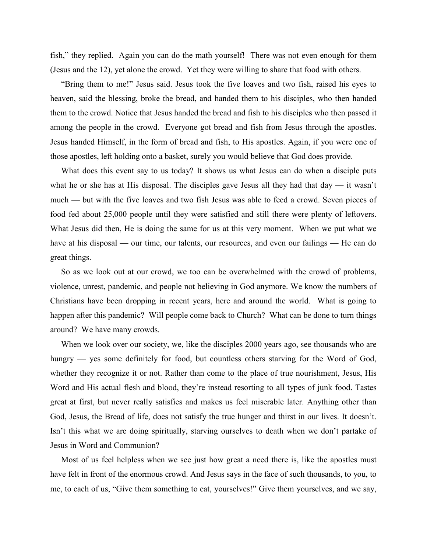fish," they replied. Again you can do the math yourself! There was not even enough for them (Jesus and the 12), yet alone the crowd. Yet they were willing to share that food with others.

 "Bring them to me!" Jesus said. Jesus took the five loaves and two fish, raised his eyes to heaven, said the blessing, broke the bread, and handed them to his disciples, who then handed them to the crowd. Notice that Jesus handed the bread and fish to his disciples who then passed it among the people in the crowd. Everyone got bread and fish from Jesus through the apostles. Jesus handed Himself, in the form of bread and fish, to His apostles. Again, if you were one of those apostles, left holding onto a basket, surely you would believe that God does provide.

 What does this event say to us today? It shows us what Jesus can do when a disciple puts what he or she has at His disposal. The disciples gave Jesus all they had that day — it wasn't much — but with the five loaves and two fish Jesus was able to feed a crowd. Seven pieces of food fed about 25,000 people until they were satisfied and still there were plenty of leftovers. What Jesus did then, He is doing the same for us at this very moment. When we put what we have at his disposal — our time, our talents, our resources, and even our failings — He can do great things.

 So as we look out at our crowd, we too can be overwhelmed with the crowd of problems, violence, unrest, pandemic, and people not believing in God anymore. We know the numbers of Christians have been dropping in recent years, here and around the world. What is going to happen after this pandemic? Will people come back to Church? What can be done to turn things around? We have many crowds.

 When we look over our society, we, like the disciples 2000 years ago, see thousands who are hungry — yes some definitely for food, but countless others starving for the Word of God, whether they recognize it or not. Rather than come to the place of true nourishment, Jesus, His Word and His actual flesh and blood, they're instead resorting to all types of junk food. Tastes great at first, but never really satisfies and makes us feel miserable later. Anything other than God, Jesus, the Bread of life, does not satisfy the true hunger and thirst in our lives. It doesn't. Isn't this what we are doing spiritually, starving ourselves to death when we don't partake of Jesus in Word and Communion?

 Most of us feel helpless when we see just how great a need there is, like the apostles must have felt in front of the enormous crowd. And Jesus says in the face of such thousands, to you, to me, to each of us, "Give them something to eat, yourselves!" Give them yourselves, and we say,